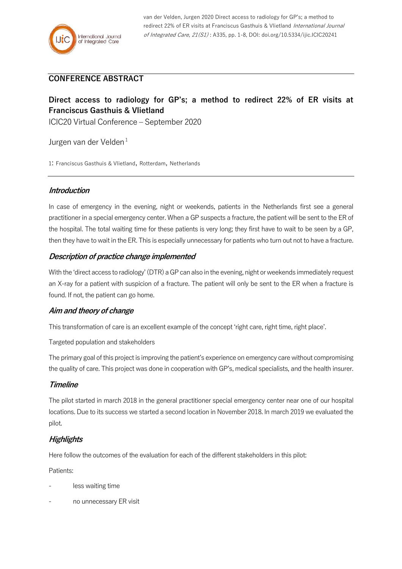# **CONFERENCE ABSTRACT**

# **Direct access to radiology for GP's; a method to redirect 22% of ER visits at Franciscus Gasthuis & Vlietland**

ICIC20 Virtual Conference – September 2020

Jurgen van der Velden<sup>1</sup>

1: Franciscus Gasthuis & Vlietland, Rotterdam, Netherlands

# **Introduction**

In case of emergency in the evening, night or weekends, patients in the Netherlands first see a general practitioner in a special emergency center. When a GP suspects a fracture, the patient will be sent to the ER of the hospital. The total waiting time for these patients is very long; they first have to wait to be seen by a GP, then they have to wait in the ER. This is especially unnecessary for patients who turn out not to have a fracture.

# **Description of practice change implemented**

With the 'direct access to radiology' (DTR) a GP can also in the evening, night or weekends immediately request an X-ray for a patient with suspicion of a fracture. The patient will only be sent to the ER when a fracture is found. If not, the patient can go home.

## **Aim and theory of change**

This transformation of care is an excellent example of the concept 'right care, right time, right place'.

Targeted population and stakeholders

The primary goal of this project is improving the patient's experience on emergency care without compromising the quality of care. This project was done in cooperation with GP's, medical specialists, and the health insurer.

## **Timeline**

The pilot started in march 2018 in the general practitioner special emergency center near one of our hospital locations. Due to its success we started a second location in November 2018. In march 2019 we evaluated the pilot.

# **Highlights**

Here follow the outcomes of the evaluation for each of the different stakeholders in this pilot:

Patients:

- less waiting time
- no unnecessary ER visit